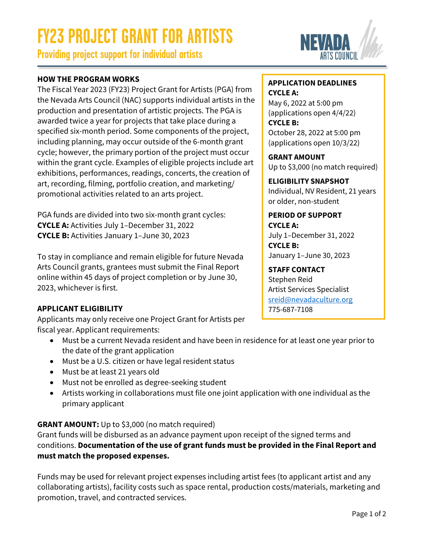# **FY23 PROJECT GRANT FOR ARTISTS**

**Providing project support for individual artists**

# **HOW THE PROGRAM WORKS**

The Fiscal Year 2023 (FY23) Project Grant for Artists (PGA) from the Nevada Arts Council (NAC) supports individual artists in the production and presentation of artistic projects. The PGA is awarded twice a year for projects that take place during a specified six-month period. Some components of the project, including planning, may occur outside of the 6-month grant cycle; however, the primary portion of the project must occur within the grant cycle. Examples of eligible projects include art exhibitions, performances, readings, concerts, the creation of art, recording, filming, portfolio creation, and marketing/ promotional activities related to an arts project.

PGA funds are divided into two six-month grant cycles: **CYCLE A:** Activities July 1–December 31, 2022 **CYCLE B:** Activities January 1–June 30, 2023

To stay in compliance and remain eligible for future Nevada Arts Council grants, grantees must submit the Final Report online within 45 days of project completion or by June 30, 2023, whichever is first.

# **APPLICANT ELIGIBILITY**

Applicants may only receive one Project Grant for Artists per fiscal year. Applicant requirements:

- Must be a current Nevada resident and have been in residence for at least one year prior to the date of the grant application
- Must be a U.S. citizen or have legal resident status
- Must be at least 21 years old
- Must not be enrolled as degree-seeking student
- Artists working in collaborations must file one joint application with one individual as the primary applicant

# **GRANT AMOUNT:** Up to \$3,000 (no match required)

Grant funds will be disbursed as an advance payment upon receipt of the signed terms and conditions. **Documentation of the use of grant funds must be provided in the Final Report and must match the proposed expenses.**

Funds may be used for relevant project expenses including artist fees (to applicant artist and any collaborating artists), facility costs such as space rental, production costs/materials, marketing and promotion, travel, and contracted services.

# **APPLICATION DEADLINES**

# **CYCLE A:**

May 6, 2022 at 5:00 pm (applications open 4/4/22) **CYCLE B:**  October 28, 2022 at 5:00 pm (applications open 10/3/22)

# **GRANT AMOUNT**

Up to \$3,000 (no match required)

#### **ELIGIBILITY SNAPSHOT** Individual, NV Resident, 21 years or older, non-student

# **PERIOD OF SUPPORT CYCLE A:**  July 1–December 31, 2022

**CYCLE B:**  January 1–June 30, 2023

# **STAFF CONTACT**

Stephen Reid Artist Services Specialist [sreid@nevadaculture.org](mailto: sreid@nevadaculture.org) 775-687-7108